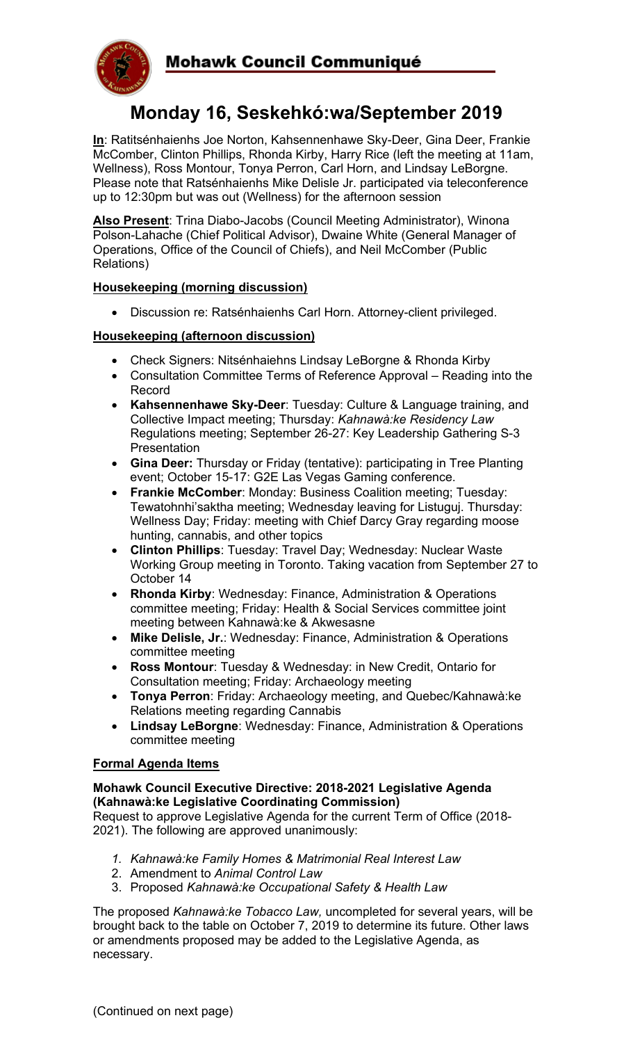



# **Monday 16, Seskehkó:wa/September 2019**

**In**: Ratitsénhaienhs Joe Norton, Kahsennenhawe Sky-Deer, Gina Deer, Frankie McComber, Clinton Phillips, Rhonda Kirby, Harry Rice (left the meeting at 11am, Wellness), Ross Montour, Tonya Perron, Carl Horn, and Lindsay LeBorgne. Please note that Ratsénhaienhs Mike Delisle Jr. participated via teleconference up to 12:30pm but was out (Wellness) for the afternoon session

**Also Present**: Trina Diabo-Jacobs (Council Meeting Administrator), Winona Polson-Lahache (Chief Political Advisor), Dwaine White (General Manager of Operations, Office of the Council of Chiefs), and Neil McComber (Public Relations)

# **Housekeeping (morning discussion)**

• Discussion re: Ratsénhaienhs Carl Horn. Attorney-client privileged.

## **Housekeeping (afternoon discussion)**

- Check Signers: Nitsénhaiehns Lindsay LeBorgne & Rhonda Kirby
- Consultation Committee Terms of Reference Approval Reading into the Record
- **Kahsennenhawe Sky-Deer**: Tuesday: Culture & Language training, and Collective Impact meeting; Thursday: *Kahnawà:ke Residency Law* Regulations meeting; September 26-27: Key Leadership Gathering S-3 **Presentation**
- **Gina Deer:** Thursday or Friday (tentative): participating in Tree Planting event; October 15-17: G2E Las Vegas Gaming conference.
- **Frankie McComber**: Monday: Business Coalition meeting; Tuesday: Tewatohnhi'saktha meeting; Wednesday leaving for Listuguj. Thursday: Wellness Day; Friday: meeting with Chief Darcy Gray regarding moose hunting, cannabis, and other topics
- **Clinton Phillips**: Tuesday: Travel Day; Wednesday: Nuclear Waste Working Group meeting in Toronto. Taking vacation from September 27 to October 14
- **Rhonda Kirby**: Wednesday: Finance, Administration & Operations committee meeting; Friday: Health & Social Services committee joint meeting between Kahnawà:ke & Akwesasne
- **Mike Delisle, Jr.**: Wednesday: Finance, Administration & Operations committee meeting
- **Ross Montour**: Tuesday & Wednesday: in New Credit, Ontario for Consultation meeting; Friday: Archaeology meeting
- **Tonya Perron**: Friday: Archaeology meeting, and Quebec/Kahnawà:ke Relations meeting regarding Cannabis
- **Lindsay LeBorgne**: Wednesday: Finance, Administration & Operations committee meeting

### **Formal Agenda Items**

### **Mohawk Council Executive Directive: 2018-2021 Legislative Agenda (Kahnawà:ke Legislative Coordinating Commission)**

Request to approve Legislative Agenda for the current Term of Office (2018- 2021). The following are approved unanimously:

- *1. Kahnawà:ke Family Homes & Matrimonial Real Interest Law*
- 2. Amendment to *Animal Control Law*
- 3. Proposed *Kahnawà:ke Occupational Safety & Health Law*

The proposed *Kahnawà:ke Tobacco Law,* uncompleted for several years, will be brought back to the table on October 7, 2019 to determine its future. Other laws or amendments proposed may be added to the Legislative Agenda, as necessary.